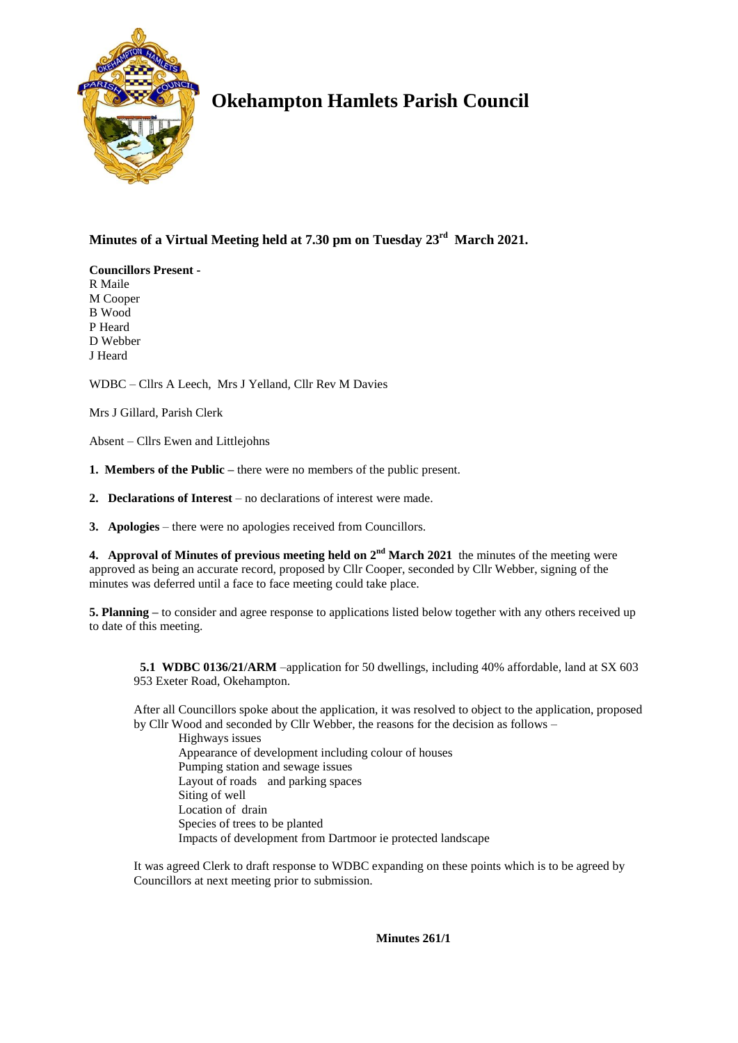

## **Okehampton Hamlets Parish Council**

## **Minutes of a Virtual Meeting held at 7.30 pm on Tuesday 23rd March 2021.**

**Councillors Present -** R Maile M Cooper B Wood

P Heard D Webber J Heard

WDBC – Cllrs A Leech, Mrs J Yelland, Cllr Rev M Davies

Mrs J Gillard, Parish Clerk

Absent – Cllrs Ewen and Littlejohns

- **1. Members of the Public –** there were no members of the public present.
- **2. Declarations of Interest** no declarations of interest were made.
- **3. Apologies** there were no apologies received from Councillors.

**4. Approval of Minutes of previous meeting held on**  $2^{nd}$  **March 2021 the minutes of the meeting were** approved as being an accurate record, proposed by Cllr Cooper, seconded by Cllr Webber, signing of the minutes was deferred until a face to face meeting could take place.

**5. Planning** – to consider and agree response to applications listed below together with any others received up to date of this meeting.

 **5.1 WDBC 0136/21/ARM** –application for 50 dwellings, including 40% affordable, land at SX 603 953 Exeter Road, Okehampton.

After all Councillors spoke about the application, it was resolved to object to the application, proposed by Cllr Wood and seconded by Cllr Webber, the reasons for the decision as follows –

Highways issues Appearance of development including colour of houses Pumping station and sewage issues Layout of roads and parking spaces Siting of well Location of drain Species of trees to be planted Impacts of development from Dartmoor ie protected landscape

It was agreed Clerk to draft response to WDBC expanding on these points which is to be agreed by Councillors at next meeting prior to submission.

**Minutes 261/1**